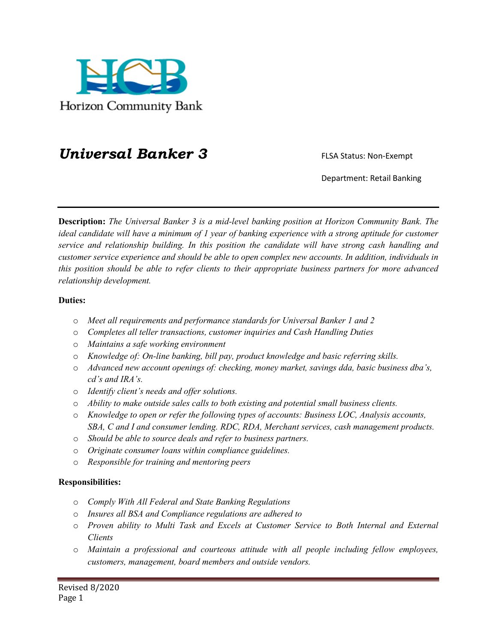

## **Universal Banker 3** FLSA Status: Non-Exempt

Department: Retail Banking

**Description:** *The Universal Banker 3 is a mid-level banking position at Horizon Community Bank. The ideal candidate will have a minimum of 1 year of banking experience with a strong aptitude for customer service and relationship building. In this position the candidate will have strong cash handling and customer service experience and should be able to open complex new accounts. In addition, individuals in this position should be able to refer clients to their appropriate business partners for more advanced relationship development.* 

## **Duties:**

- o *Meet all requirements and performance standards for Universal Banker 1 and 2*
- o *Completes all teller transactions, customer inquiries and Cash Handling Duties*
- o *Maintains a safe working environment*
- o *Knowledge of: On-line banking, bill pay, product knowledge and basic referring skills.*
- o *Advanced new account openings of: checking, money market, savings dda, basic business dba's, cd's and IRA's.*
- o *Identify client's needs and offer solutions.*
- o *Ability to make outside sales calls to both existing and potential small business clients.*
- o *Knowledge to open or refer the following types of accounts: Business LOC, Analysis accounts, SBA, C and I and consumer lending. RDC, RDA, Merchant services, cash management products.*
- o *Should be able to source deals and refer to business partners.*
- o *Originate consumer loans within compliance guidelines.*
- o *Responsible for training and mentoring peers*

## **Responsibilities:**

- o *Comply With All Federal and State Banking Regulations*
- o *Insures all BSA and Compliance regulations are adhered to*
- o *Proven ability to Multi Task and Excels at Customer Service to Both Internal and External Clients*
- o *Maintain a professional and courteous attitude with all people including fellow employees, customers, management, board members and outside vendors.*